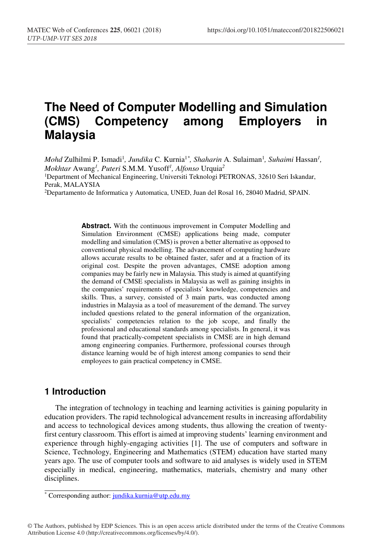# **The Need of Computer Modelling and Simulation (CMS) Competency among Employers in Malaysia**

*Mohd* Zulhilmi P. Ismadi<sup>1</sup>, Jundika C. Kurnia<sup>1\*</sup>, Shaharin A. Sulaiman<sup>1</sup>, Suhaimi Hassan<sup>1</sup>, *Mokhtar* Awang*<sup>1</sup> , Puteri* S.M.M. Yusoff*<sup>1</sup> , Alfonso* Urquia*<sup>2</sup>* <sup>1</sup>Department of Mechanical Engineering, Universiti Teknologi PETRONAS, 32610 Seri Iskandar, Perak, MALAYSIA

2Departamento de Informatica y Automatica, UNED, Juan del Rosal 16, 28040 Madrid, SPAIN.

**Abstract.** With the continuous improvement in Computer Modelling and Simulation Environment (CMSE) applications being made, computer modelling and simulation (CMS) is proven a better alternative as opposed to conventional physical modelling. The advancement of computing hardware allows accurate results to be obtained faster, safer and at a fraction of its original cost. Despite the proven advantages, CMSE adoption among companies may be fairly new in Malaysia. This study is aimed at quantifying the demand of CMSE specialists in Malaysia as well as gaining insights in the companies' requirements of specialists' knowledge, competencies and skills. Thus, a survey, consisted of 3 main parts, was conducted among industries in Malaysia as a tool of measurement of the demand. The survey included questions related to the general information of the organization, specialists' competencies relation to the job scope, and finally the professional and educational standards among specialists. In general, it was found that practically-competent specialists in CMSE are in high demand among engineering companies. Furthermore, professional courses through distance learning would be of high interest among companies to send their employees to gain practical competency in CMSE.

### **1 Introduction**

The integration of technology in teaching and learning activities is gaining popularity in education providers. The rapid technological advancement results in increasing affordability and access to technological devices among students, thus allowing the creation of twentyfirst century classroom. This effort is aimed at improving students' learning environment and experience through highly-engaging activities [1]. The use of computers and software in Science, Technology, Engineering and Mathematics (STEM) education have started many years ago. The use of computer tools and software to aid analyses is widely used in STEM especially in medical, engineering, mathematics, materials, chemistry and many other disciplines.

© The Authors, published by EDP Sciences. This is an open access article distributed under the terms of the Creative Commons Attribution License 4.0 (http://creativecommons.org/licenses/by/4.0/).

<sup>\*</sup> Corresponding author: jundika.kurnia@utp.edu.my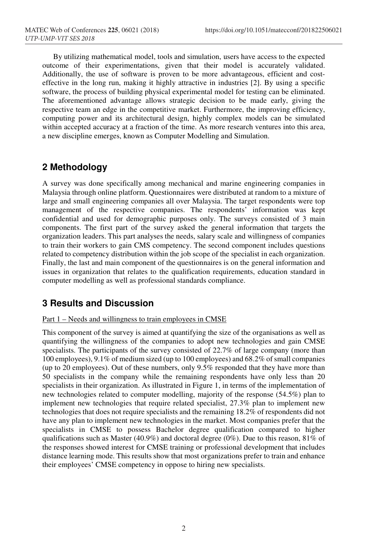By utilizing mathematical model, tools and simulation, users have access to the expected outcome of their experimentations, given that their model is accurately validated. Additionally, the use of software is proven to be more advantageous, efficient and costeffective in the long run, making it highly attractive in industries [2]. By using a specific software, the process of building physical experimental model for testing can be eliminated. The aforementioned advantage allows strategic decision to be made early, giving the respective team an edge in the competitive market. Furthermore, the improving efficiency, computing power and its architectural design, highly complex models can be simulated within accepted accuracy at a fraction of the time. As more research ventures into this area, a new discipline emerges, known as Computer Modelling and Simulation.

### **2 Methodology**

A survey was done specifically among mechanical and marine engineering companies in Malaysia through online platform. Questionnaires were distributed at random to a mixture of large and small engineering companies all over Malaysia. The target respondents were top management of the respective companies. The respondents' information was kept confidential and used for demographic purposes only. The surveys consisted of 3 main components. The first part of the survey asked the general information that targets the organization leaders. This part analyses the needs, salary scale and willingness of companies to train their workers to gain CMS competency. The second component includes questions related to competency distribution within the job scope of the specialist in each organization. Finally, the last and main component of the questionnaires is on the general information and issues in organization that relates to the qualification requirements, education standard in computer modelling as well as professional standards compliance.

### **3 Results and Discussion**

#### Part 1 – Needs and willingness to train employees in CMSE

This component of the survey is aimed at quantifying the size of the organisations as well as quantifying the willingness of the companies to adopt new technologies and gain CMSE specialists. The participants of the survey consisted of 22.7% of large company (more than 100 employees), 9.1% of medium sized (up to 100 employees) and 68.2% of small companies (up to 20 employees). Out of these numbers, only 9.5% responded that they have more than 50 specialists in the company while the remaining respondents have only less than 20 specialists in their organization. As illustrated in Figure 1, in terms of the implementation of new technologies related to computer modelling, majority of the response (54.5%) plan to implement new technologies that require related specialist, 27.3% plan to implement new technologies that does not require specialists and the remaining 18.2% of respondents did not have any plan to implement new technologies in the market. Most companies prefer that the specialists in CMSE to possess Bachelor degree qualification compared to higher qualifications such as Master (40.9%) and doctoral degree (0%). Due to this reason, 81% of the responses showed interest for CMSE training or professional development that includes distance learning mode. This results show that most organizations prefer to train and enhance their employees' CMSE competency in oppose to hiring new specialists.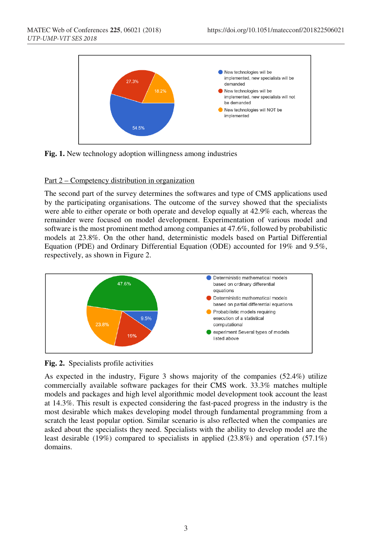

**Fig. 1.** New technology adoption willingness among industries

#### Part 2 – Competency distribution in organization

The second part of the survey determines the softwares and type of CMS applications used by the participating organisations. The outcome of the survey showed that the specialists were able to either operate or both operate and develop equally at 42.9% each, whereas the remainder were focused on model development. Experimentation of various model and software is the most prominent method among companies at 47.6%, followed by probabilistic models at 23.8%. On the other hand, deterministic models based on Partial Differential Equation (PDE) and Ordinary Differential Equation (ODE) accounted for 19% and 9.5%, respectively, as shown in Figure 2.



**Fig. 2.** Specialists profile activities

As expected in the industry, Figure 3 shows majority of the companies (52.4%) utilize commercially available software packages for their CMS work. 33.3% matches multiple models and packages and high level algorithmic model development took account the least at 14.3%. This result is expected considering the fast-paced progress in the industry is the most desirable which makes developing model through fundamental programming from a scratch the least popular option. Similar scenario is also reflected when the companies are asked about the specialists they need. Specialists with the ability to develop model are the least desirable (19%) compared to specialists in applied (23.8%) and operation (57.1%) domains.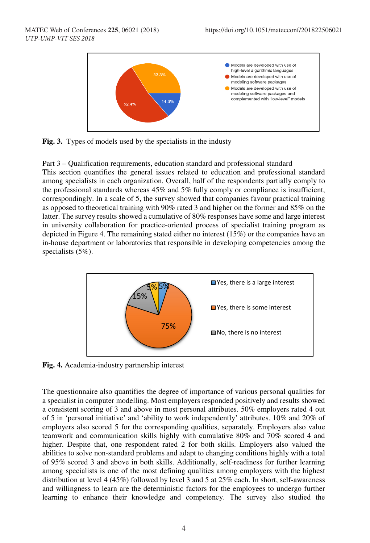

**Fig. 3.** Types of models used by the specialists in the industy

#### Part 3 – Qualification requirements, education standard and professional standard

This section quantifies the general issues related to education and professional standard among specialists in each organization. Overall, half of the respondents partially comply to the professional standards whereas 45% and 5% fully comply or compliance is insufficient, correspondingly. In a scale of 5, the survey showed that companies favour practical training as opposed to theoretical training with 90% rated 3 and higher on the former and 85% on the latter. The survey results showed a cumulative of 80% responses have some and large interest in university collaboration for practice-oriented process of specialist training program as depicted in Figure 4. The remaining stated either no interest (15%) or the companies have an in-house department or laboratories that responsible in developing competencies among the specialists (5%).



**Fig. 4.** Academia-industry partnership interest

The questionnaire also quantifies the degree of importance of various personal qualities for a specialist in computer modelling. Most employers responded positively and results showed a consistent scoring of 3 and above in most personal attributes. 50% employers rated 4 out of 5 in 'personal initiative' and 'ability to work independently' attributes. 10% and 20% of employers also scored 5 for the corresponding qualities, separately. Employers also value teamwork and communication skills highly with cumulative 80% and 70% scored 4 and higher. Despite that, one respondent rated 2 for both skills. Employers also valued the abilities to solve non-standard problems and adapt to changing conditions highly with a total of 95% scored 3 and above in both skills. Additionally, self-readiness for further learning among specialists is one of the most defining qualities among employers with the highest distribution at level 4 (45%) followed by level 3 and 5 at 25% each. In short, self-awareness and willingness to learn are the deterministic factors for the employees to undergo further learning to enhance their knowledge and competency. The survey also studied the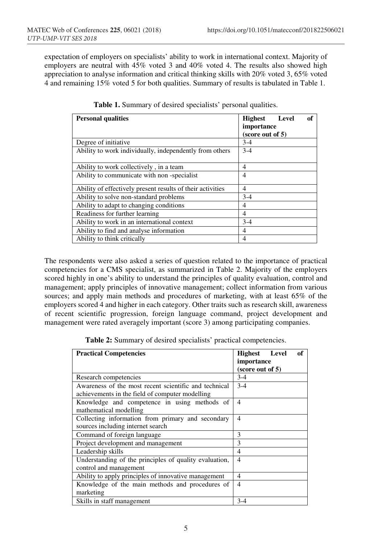expectation of employers on specialists' ability to work in international context. Majority of employers are neutral with 45% voted 3 and 40% voted 4. The results also showed high appreciation to analyse information and critical thinking skills with 20% voted 3, 65% voted 4 and remaining 15% voted 5 for both qualities. Summary of results is tabulated in Table 1.

| <b>Personal qualities</b>                                  | of<br>Level<br><b>Highest</b><br>importance<br>(score out of 5) |
|------------------------------------------------------------|-----------------------------------------------------------------|
| Degree of initiative                                       | $3-4$                                                           |
| Ability to work individually, independently from others    | $3-4$                                                           |
| Ability to work collectively, in a team                    | 4                                                               |
| Ability to communicate with non-specialist                 | 4                                                               |
| Ability of effectively present results of their activities | $\overline{4}$                                                  |
| Ability to solve non-standard problems                     | $3-4$                                                           |
| Ability to adapt to changing conditions                    | 4                                                               |
| Readiness for further learning                             | 4                                                               |
| Ability to work in an international context                | $3-4$                                                           |
| Ability to find and analyse information                    | 4                                                               |
| Ability to think critically                                | 4                                                               |

**Table 1.** Summary of desired specialists' personal qualities.

The respondents were also asked a series of question related to the importance of practical competencies for a CMS specialist, as summarized in Table 2. Majority of the employers scored highly in one's ability to understand the principles of quality evaluation, control and management; apply principles of innovative management; collect information from various sources; and apply main methods and procedures of marketing, with at least 65% of the employers scored 4 and higher in each category. Other traits such as research skill, awareness of recent scientific progression, foreign language command, project development and management were rated averagely important (score 3) among participating companies.

**Table 2:** Summary of desired specialists' practical competencies.

| <b>Practical Competencies</b>                                                                            | of<br>Highest Level<br>importance<br>(score out of 5) |
|----------------------------------------------------------------------------------------------------------|-------------------------------------------------------|
| Research competencies                                                                                    | $3-4$                                                 |
| Awareness of the most recent scientific and technical<br>achievements in the field of computer modelling | $3-4$                                                 |
| Knowledge and competence in using methods of<br>mathematical modelling                                   | 4                                                     |
| Collecting information from primary and secondary<br>sources including internet search                   | 4                                                     |
| Command of foreign language                                                                              | 3                                                     |
| Project development and management                                                                       | 3                                                     |
| Leadership skills                                                                                        | 4                                                     |
| Understanding of the principles of quality evaluation,<br>control and management                         | $\overline{4}$                                        |
| Ability to apply principles of innovative management                                                     | 4                                                     |
| Knowledge of the main methods and procedures of<br>marketing                                             | $\overline{4}$                                        |
| Skills in staff management                                                                               | $3-4$                                                 |